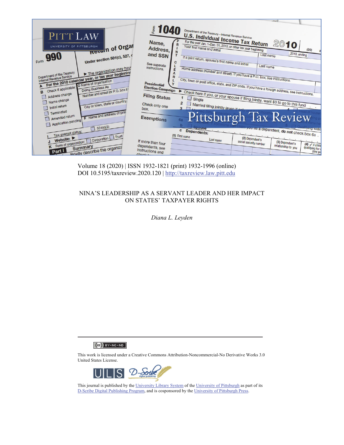

Volume 18 (2020) | ISSN 1932-1821 (print) 1932-1996 (online) DOI 10.5195/taxreview.2020.120 | http://taxreview.law.pitt.edu

# NINA'S LEADERSHIP AS A SERVANT LEADER AND HER IMPACT ON STATES' TAXPAYER RIGHTS

*Diana L. Leyden* 

 $(Ce)$  BY-NC-ND

This work is licensed under a Creative Commons Attribution-Noncommercial-No Derivative Works 3.0 United States License.



This journal is published by the University Library System of the University of Pittsburgh as part of its D-Scribe Digital Publishing Program, and is cosponsored by the University of Pittsburgh Press.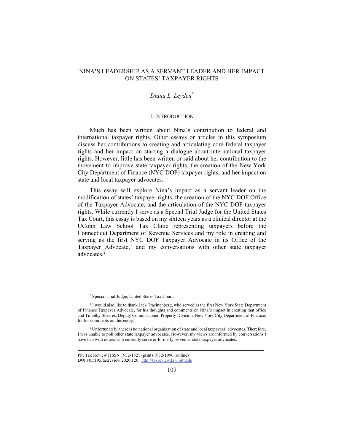## NINA'S LEADERSHIP AS A SERVANT LEADER AND HER IMPACT ON STATES' TAXPAYER RIGHTS

## *Diana L. Leyden\**

#### I. INTRODUCTION

Much has been written about Nina's contribution to federal and international taxpayer rights. Other essays or articles in this symposium discuss her contributions to creating and articulating core federal taxpayer rights and her impact on starting a dialogue about international taxpayer rights. However, little has been written or said about her contribution to the movement to improve state taxpayer rights, the creation of the New York City Department of Finance (NYC DOF) taxpayer rights, and her impact on state and local taxpayer advocates.

This essay will explore Nina's impact as a servant leader on the modification of states' taxpayer rights, the creation of the NYC DOF Office of the Taxpayer Advocate, and the articulation of the NYC DOF taxpayer rights. While currently I serve as a Special Trial Judge for the United States Tax Court, this essay is based on my sixteen years as a clinical director at the UConn Law School Tax Clinic representing taxpayers before the Connecticut Department of Revenue Services and my role in creating and serving as the first NYC DOF Taxpayer Advocate in its Office of the Taxpayer Advocate,<sup>1</sup> and my conversations with other state taxpayer advocates.<sup>2</sup>

<sup>\*</sup> Special Trial Judge, United States Tax Court.

<sup>&</sup>lt;sup>1</sup> I would also like to thank Jack Trachtenberg, who served as the first New York State Department of Finance Taxpayer Advocate, for his thoughts and comments on Nina's impact in creating that office and Timothy Sheares, Deputy Commissioner, Property Division, New York City Department of Finance, for his comments on this essay.

<sup>&</sup>lt;sup>2</sup> Unfortunately, there is no national organization of state and local taxpayers' advocates. Therefore, I was unable to poll other state taxpayer advocates. However, my views are informed by conversations I have had with others who currently serve or formerly served as state taxpayer advocates.

Pitt Tax Review | ISSN 1932-1821 (print) 1932-1996 (online) DOI 10.5195/taxreview.2020.120 | http://taxreview.law.pitt.edu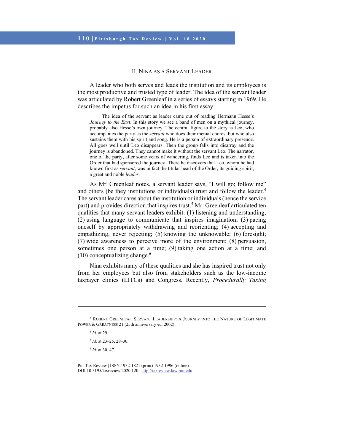### II. NINA AS A SERVANT LEADER

A leader who both serves and leads the institution and its employees is the most productive and trusted type of leader. The idea of the servant leader was articulated by Robert Greenleaf in a series of essays starting in 1969. He describes the impetus for such an idea in his first essay:

The idea of the servant as leader came out of reading Hermann Hesse's *Journey to the East*. In this story we see a band of men on a mythical journey, probably also Hesse's own journey. The central figure to the story is Leo, who accompanies the party as the *servant* who does their menial chores, but who also sustains them with his spirit and song. He is a person of extraordinary presence. All goes well until Leo disappears. Then the group falls into disarray and the journey is abandoned. They cannot make it without the servant Leo. The narrator, one of the party, after some years of wandering, finds Leo and is taken into the Order that had sponsored the journey. There he discovers that Leo, whom he had known first as *servant*, was in fact the titular head of the Order, its guiding spirit, a great and noble *leader*. 3

As Mr. Greenleaf notes, a servant leader says, "I will go; follow me" and others (be they institutions or individuals) trust and follow the leader.<sup>4</sup> The servant leader cares about the institution or individuals (hence the service part) and provides direction that inspires trust.<sup>5</sup> Mr. Greenleaf articulated ten qualities that many servant leaders exhibit: (1) listening and understanding; (2) using language to communicate that inspires imagination; (3) pacing oneself by appropriately withdrawing and reorienting; (4) accepting and empathizing, never rejecting; (5) knowing the unknowable; (6) foresight; (7) wide awareness to perceive more of the environment; (8) persuasion, sometimes one person at a time; (9) taking one action at a time; and  $(10)$  conceptualizing change.<sup>6</sup>

Nina exhibits many of these qualities and she has inspired trust not only from her employees but also from stakeholders such as the low-income taxpayer clinics (LITCs) and Congress. Recently, *Procedurally Taxing*

<sup>4</sup> *Id.* at 29.

l

<sup>5</sup> *Id.* at 23–25, 29–30.

<sup>6</sup> *Id.* at 30–47.

<sup>&</sup>lt;sup>3</sup> ROBERT GREENLEAF, SERVANT LEADERSHIP: A JOURNEY INTO THE NATURE OF LEGITIMATE POWER & GREATNESS 21 (25th anniversary ed. 2002).

Pitt Tax Review | ISSN 1932-1821 (print) 1932-1996 (online) DOI 10.5195/taxreview.2020.120 | http://taxreview.law.pitt.edu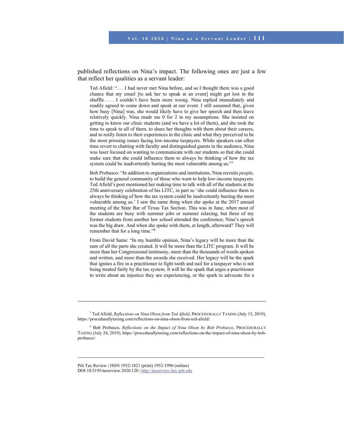published reflections on Nina's impact. The following ones are just a few that reflect her qualities as a servant leader:

Ted Afield: ". . . I had never met Nina before, and so I thought there was a good chance that my email [to ask her to speak at an event] might get lost in the shuffle . . . . I couldn't have been more wrong. Nina replied immediately and readily agreed to come down and speak at our event. I still assumed that, given how busy [Nina] was, she would likely have to give her speech and then leave relatively quickly. Nina made me 0 for 2 in my assumptions. She insisted on getting to know our clinic students (and we have a lot of them), and she took the time to speak to all of them, to share her thoughts with them about their careers, and to really listen to their experiences in the clinic and what they perceived to be the most pressing issues facing low-income taxpayers. While speakers can often time revert to chatting with faculty and distinguished guests in the audience, Nina was laser focused on wanting to communicate with our students so that she could make sure that she could influence them to always be thinking of how the tax system could be inadvertently hurting the most vulnerable among us."7

Bob Probasco: "In addition to organizations and institutions, Nina recruits *people*, to build the general community of those who want to help low-income taxpayers. Ted Afield's post mentioned her making time to talk with all of the students at the 25th anniversary celebration of his LITC, in part so 'she could influence them to always be thinking of how the tax system could be inadvertently hurting the most vulnerable among us.' I saw the same thing when she spoke at the 2017 annual meeting of the State Bar of Texas Tax Section. This was in June, when most of the students are busy with summer jobs or summer relaxing, but three of my former students from another law school attended the conference; Nina's speech was the big draw. And when she spoke with them, at length, afterward? They will remember that for a long time."8

From David Sams: "In my humble opinion, Nina's legacy will be more than the sum of all the parts she created. It will be more than the LITC program. It will be more than her Congressional testimony, more than the thousands of words spoken and written, and more than the awards she received. Her legacy will be the spark that ignites a fire in a practitioner to fight tooth and nail for a taxpayer who is not being treated fairly by the tax system. It will be the spark that urges a practitioner to write about an injustice they are experiencing, or the spark to advocate for a

Pitt Tax Review | ISSN 1932-1821 (print) 1932-1996 (online) DOI 10.5195/taxreview.2020.120 | http://taxreview.law.pitt.edu

<sup>7</sup> Ted Afield, *Reflections on Nina Olsen from Ted Afield*, PROCEDURALLY TAXING (July 15, 2019), https://procedurallytaxing.com/reflections-on-nina-olson-from-ted-afield/.

<sup>8</sup> Bob Probasco, *Reflections on the Impact of Nina Olson by Bob Probasco*, PROCEDURALLY TAXING (July 24, 2019), https://procedurallytaxing.com/reflections-on-the-impact-of-nina-olson-by-bobprobasco/.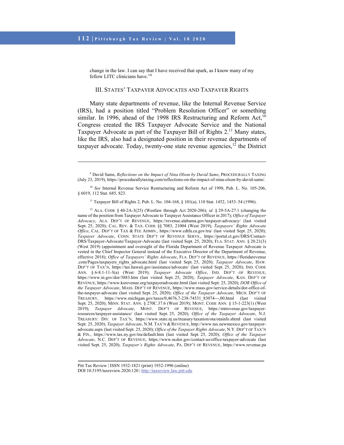l

change in the law. I can say that I have received that spark, as I know many of my fellow LITC clinicians have."9

### III. STATES' TAXPAYER ADVOCATES AND TAXPAYER RIGHTS

Many state departments of revenue, like the Internal Revenue Service (IRS), had a position titled "Problem Resolution Officer" or something similar. In 1996, ahead of the 1998 IRS Restructuring and Reform Act, $10$ Congress created the IRS Taxpayer Advocate Service and the National Taxpayer Advocate as part of the Taxpayer Bill of Rights  $2<sup>11</sup>$  Many states, like the IRS, also had a designated position in their revenue departments of taxpayer advocate. Today, twenty-one state revenue agencies, $1^2$  the District

<sup>11</sup> Taxpayer Bill of Rights 2, Pub. L. No. 104-168, § 101(a), 110 Stat. 1452, 1453-54 (1996).

12 ALA. CODE § 40-2A-3(25) (Westlaw through Act 2020-206); *id.* § 29-5A-27.1 (changing the name of the position from Taxpayer Advocate to Taxpayer Assistance Officer in 2017); *Office of Taxpayer Advocacy*, ALA. DEP'T OF REVENUE, https://revenue.alabama.gov/taxpayer-advocacy/ (last visited Sept. 25, 2020); CAL. REV. & TAX. CODE §§ 7083, 21004 (West 2019); *Taxpayers' Rights Advocate Office*, CAL. DEP'T OF TAX & FEE ADMIN., https://www.cdtfa.ca.gov/tra/ (last visited Sept. 25, 2020); *Taxpayer Advocate*, CONN. STATE DEP'T OF REVENUE SERVS., https://portal.ct.gov/DRS/Contact-DRS/Taxpayer-Advocate/Taxpayer-Advocate (last visited Sept. 25, 2020); FLA. STAT. ANN. § 20.21(3) (West 2019) (appointment and oversight of the Florida Department of Revenue Taxpayer Advocate is vested in the Chief Inspector General instead of the Executive Director of the Department of Revenue, effective 2018); *Office of Taxpayers' Rights Advocate*, FLA. DEP'T OF REVENUE, https://floridarevenue .com/Pages/taxpayers\_rights\_advocate.html (last visited Sept. 25, 2020); *Taxpayer Advocate*, HAW. DEP'T OF TAX'N, https://tax.hawaii.gov/assistance/advocate/ (last visited Sept. 25, 2020); IND. CODE ANN. § 6-8.1-11-3(a) (West 2019); *Taxpayer Advocate Office*, IND. DEP'T OF REVENUE, https://www.in.gov/dor/3883.htm (last visited Sept. 25, 2020); *Taxpayer Advocate*, KAN. DEP'T OF REVENUE, https://www.ksrevenue.org/taxpayeradvocate.html (last visited Sept. 25, 2020); *DOR Office of the Taxpayer Advocate*, MASS. DEP'T OF REVENUE, https://www.mass.gov/service-details/dor-office-ofthe-taxpayer-advocate (last visited Sept. 25, 2020); *Office of the Taxpayer Advocate*, MICH. DEP'T OF TREASURY, https://www.michigan.gov/taxes/0,4676,7-238-74531\_83074---,00.html (last visited Sept. 25, 2020); MINN. STAT. ANN. § 270C.37.6 (West 2019); MONT. CODE ANN. § 15-1-223(1) (West 2019); *Taxpayer Advocate*, MONT. DEP'T OF REVENUE, https://mtrevenue.gov/taxpayerresources/taxpayer-assistance/ (last visited Sept. 25, 2020); *Office of the Taxpayer Advocate*, N.J. TREASURY: DIV. OF TAX'N, https://www.state.nj.us/treasury/taxation/ota/otainfo.shtml (last visited Sept. 25, 2020); *Taxpayer Advocate*, N.M. TAX'N & REVENUE, http://www.tax.newmexico.gov/taxpayeradvocate.aspx (last visited Sept. 25, 2020); *Office of the Taxpayer Rights Advocate*, N.Y. DEP'T OF TAX'N & FIN., https://www.tax.ny.gov/tra/default.htm (last visited Sept. 25, 2020); *Office of the Taxpayer Advocate*, N.C. DEP'T OF REVENUE, https://www.ncdor.gov/contact-us/office-taxpayer-advocate (last visited Sept. 25, 2020); *Taxpayer's Rights Advocate*, PA. DEP'T OF REVENUE, https://www.revenue.pa

<sup>9</sup> David Sams, *Reflections on the Impact of Nina Olson by David Sams*, PROCEDURALLY TAXING (July 23, 2019), https://procedurallytaxing.com/reflections-on-the-impact-of-nina-olson-by-david-sams/.

<sup>&</sup>lt;sup>10</sup> *See* Internal Revenue Service Restructuring and Reform Act of 1998, Pub. L. No. 105-206, § 6019, 112 Stat. 685, 823.

Pitt Tax Review | ISSN 1932-1821 (print) 1932-1996 (online) DOI 10.5195/taxreview.2020.120 | http://taxreview.law.pitt.edu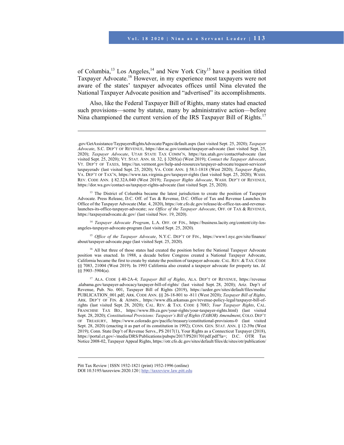of Columbia,<sup>13</sup> Los Angeles,<sup>14</sup> and New York City<sup>15</sup> have a position titled Taxpayer Advocate.16 However, in my experience most taxpayers were not aware of the states' taxpayer advocates offices until Nina elevated the National Taxpayer Advocate position and "advertised" its accomplishments.

Also, like the Federal Taxpayer Bill of Rights, many states had enacted such provisions—some by statute, many by administrative action—before Nina championed the current version of the IRS Taxpayer Bill of Rights.<sup>17</sup>

l

<sup>13</sup> The District of Columbia became the latest jurisdiction to create the position of Taxpayer Advocate. Press Release, D.C. Off. of Tax & Revenue, D.C. Office of Tax and Revenue Launches Its Office of the Taxpayer Advocate (Mar. 4, 2020), https://otr.cfo.dc.gov/release/dc-office-tax-and-revenuelaunches-its-office-taxpayer-advocate; *see Office of the Taxpayer Advocate*, OFF. OF TAX & REVENUE, https://taxpayeradvocate.dc.gov/ (last visited Nov. 19, 2020).

<sup>14</sup> *Taxpayer Advocate Program*, L.A. OFF. OF FIN., https://business.lacity.org/content/city-losangeles-taxpayer-advocate-program (last visited Sept. 25, 2020).

<sup>15</sup> *Office of the Taxpayer Advocate*, N.Y.C. DEP'T OF FIN., https://www1.nyc.gov/site/finance/ about/taxpayer-advocate.page (last visited Sept. 25, 2020).

<sup>16</sup> All but three of those states had created the position before the National Taxpayer Advocate position was enacted. In 1988, a decade before Congress created a National Taxpayer Advocate, California became the first to create by statute the position of taxpayer advocate. CAL. REV. & TAX. CODE §§ 7083, 21004 (West 2019). In 1993 California also created a taxpayer advocate for property tax. *Id.* §§ 5903–5904(a).

17 ALA. CODE § 40-2A-4; *Taxpayer Bill of Rights*, ALA. DEP'T OF REVENUE, https://revenue .alabama.gov/taxpayer-advocacy/taxpayer-bill-of-rights/ (last visited Sept. 28, 2020); Ariz. Dep't of Revenue, Pub. No. 001, Taxpayer Bill of Rights (2019), https://azdor.gov/sites/default/files/media/ PUBLICATION\_001.pdf; ARK. CODE ANN. §§ 26-18-801 to -811 (West 2020); *Taxpayer Bill of Rights*, ARK. DEP'T OF FIN. & ADMIN., https://www.dfa.arkansas.gov/revenue-policy-legal/taxpayer-bill-ofrights (last visited Sept. 28, 2020); CAL. REV. & TAX. CODE § 7083; *Your Taxpayer Rights*, CAL. FRANCHISE TAX BD., https://www.ftb.ca.gov/your-rights/your-taxpayer-rights.html) (last visited Sept. 28, 2020); *Constitutional Provisions: Taxpayer's Bill of Rights (TABOR) Amendment*, COLO. DEP'T OF TREASURY, https://www.colorado.gov/pacific/treasury/constitutional-provisions-0 (last visited Sept. 28, 2020) (enacting it as part of its constitution in 1992); CONN. GEN. STAT. ANN. § 12-39n (West 2019); Conn. State Dep't of Revenue Servs., PS 2017(1), Your Rights as a Connecticut Taxpayer (2018), https://portal.ct.gov/-/media/DRS/Publications/pubsps/2017/PS201701pdf.pdf?la=; D.C. OTR Tax Notice 2008-02, Taxpayer Appeal Rights, https://otr.cfo.dc.gov/sites/default/files/dc/sites/otr/publication/

<sup>.</sup>gov/GetAssistance/TaypayersRightsAdvocate/Pages/default.aspx (last visited Sept. 25, 2020); *Taxpayer Advocate*, S.C. DEP'T OF REVENUE, https://dor.sc.gov/contact/taxpayer-advocate (last visited Sept. 25, 2020); *Taxpayer Advocate*, UTAH STATE TAX COMM'N, https://tax.utah.gov/contact#advocate (last visited Sept. 25, 2020); VT. STAT. ANN. tit. 32, § 3205(a) (West 2019); *Contact the Taxpayer Advocate*, VT. DEP'T OF TAXES, https://tax.vermont.gov/help-and-resources/taxpayer-advocate/request-services# taxpayeradv (last visited Sept. 25, 2020); VA. CODE ANN. § 58.1-1818 (West 2020); *Taxpayer Rights*, VA. DEP'T OF TAX'N, https://www.tax.virginia.gov/taxpayer-rights (last visited Sept. 25, 2020); WASH. REV. CODE ANN. § 82.32A.040 (West 2019); *Taxpayer Rights Advocate*, WASH. DEP'T OF REVENUE, https://dor.wa.gov/contact-us/taxpayer-rights-advocate (last visited Sept. 25, 2020).

Pitt Tax Review | ISSN 1932-1821 (print) 1932-1996 (online) DOI 10.5195/taxreview.2020.120 | http://taxreview.law.pitt.edu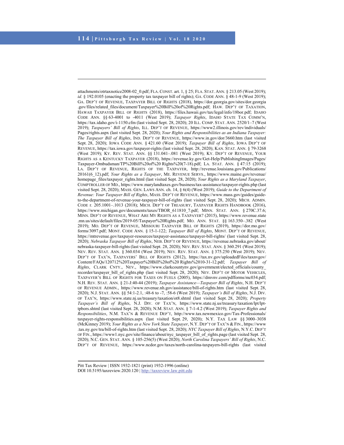l

attachments/otrtaxnotice2008-02\_0.pdf; FLA.CONST. art. 1, § 25; FLA. STAT. ANN. § 213.05 (West 2019); *id.* § 192.0105 (enacting the property tax taxpayer bill of rights); GA. CODE ANN. § 48-1-9 (West 2019); GA. DEP'T OF REVENUE, TAXPAYER BILL OF RIGHTS (2018), https://dor.georgia.gov/sites/dor.georgia .gov/files/related\_files/document/Taxpayer%20Bill%20of%20Rights.pdf; HAW. DEP'T OF TAXATION, HAWAII TAXPAYER BILL OF RIGHTS (2018), https://files.hawaii.gov/tax/legal/info/18bor.pdf; IDAHO CODE ANN. §§ 63-4001 to -4011 (West 2019); *Taxpayer Rights*, IDAHO STATE TAX COMM'N, https://tax.idaho.gov/i-1150.cfm (last visited Sept. 28, 2020); 20 ILL. COMP. STAT. ANN. 2520/1–7 (West 2019); *Taxpayers' Bill of Rights*, ILL. DEP'T OF REVENUE, https://www2.illinois.gov/rev/individuals/ Pages/rights.aspx (last visited Sept. 28, 2020); *Your Rights and Responsibilities as an Indiana Taxpayer: The Taxpayer Bill of Rights*, IND. DEP'T OF REVENUE, https://www.in.gov/dor/3660.htm (last visited Sept. 28, 2020); IOWA CODE ANN. § 421.60 (West 2019); *Taxpayer Bill of Rights*, IOWA DEP'T OF REVENUE, https://tax.iowa.gov/taxpayer-rights (last visited Sept. 28, 2020); KAN. STAT. ANN. § 79-3268 (West 2019); KY. REV. STAT. ANN. §§ 131.041–.081 (West 2019); KY. DEP'T OF REVENUE, YOUR RIGHTS AS A KENTUCKY TAXPAYER (2018), https://revenue.ky.gov/Get-Help/PublishingImages/Pages/ Taxpayer-Ombudsman/TP%20Bill%20of%20 Rights%20(7-18).pdf; LA. STAT. ANN. § 47:15 (2019); LA. DEP'T OF REVENUE, RIGHTS OF THE TAXPAYER, http://revenue.louisiana.gov/Publications/ 20161(6\_12).pdf; *Your Rights as a Taxpayer*, ME. REVENUE SERVS., https://www.maine.gov/revenue/ homepage\_files/taxpayer\_rights.html (last visited Sept. 28, 2020); *Your Rights as a Maryland Taxpayer*, COMPTROLLER OF MD., https://www.marylandtaxes.gov/business/tax-assistance/taxpayer-rights.php (last visited Sept. 28, 2020); MASS. GEN. LAWS ANN. ch. 14, § 6(4) (West 2019); *Guide to the Department of Revenue: Your Taxpayer Bill of Rights*, MASS. DEP'T OF REVENUE, https://www.mass.gov/guides/guideto-the-department-of-revenue-your-taxpayer-bill-of-rights (last visited Sept. 28, 2020); MICH. ADMIN. CODE r. 205.1001–.1013 (2018); MICH. DEP'T OF TREASURY, TAXPAYER RIGHTS HANDBOOK (2016), https://www.michigan.gov/documents/taxes/TBOR\_611810\_7.pdf; MINN. STAT. ANN. § 270C.37.6; MINN. DEP'T OF REVENUE, WHAT ARE MY RIGHTS AS A TAXPAYER? (2015), https://www.revenue.state .mn.us/sites/default/files/2019-05/Taxpayer%20Rights.pdf; MO. ANN. STAT. §§ 163.350–.382 (West 2019); MO. DEP'T OF REVENUE, MISSOURI TAXPAYER BILL OF RIGHTS (2019), https://dor.mo.gov/ forms/3097.pdf; MONT. CODE ANN. § 15-1-122; *Taxpayer Bill of Rights*, MONT. DEP'T OF REVENUE, https://mtrevenue.gov/taxpayer-resources/taxpayer-assistance/taxpayer-bill-rights/ (last visited Sept. 28, 2020); *Nebraska Taxpayer Bill of Rights*, NEB. DEP'T OF REVENUE, https://revenue.nebraska.gov/about/ nebraska-taxpayer-bill-rights (last visited Sept. 28, 2020); NEV. REV. STAT. ANN. § 360.291 (West 2019); NEV. REV. STAT. ANN. § 360.034 (West 2019); NEV. REV. STAT. ANN. § 375.250 (West 2019); NEV. DEP'T OF TAX'N, TAXPAYERS' BILL OF RIGHTS (2012), https://tax.nv.gov/uploadedFiles/taxnvgov/ Content/FAQs/120712%20Taxpayer%20Bill%20of%20 Rights%2010-31-12.pdf; *Taxpayer Bill of Rights*, CLARK CNTY., NEV., https://www.clarkcountynv.gov/government/elected\_officials/county\_ recorder/taxpayer\_bill\_of\_rights.php (last visited Sept. 28, 2020); NEV. DEP'T OF MOTOR VEHICLES, TAXPAYER'S BILL OF RIGHTS FOR TAXES ON FUELS (2005), https://dmvnv.com/pdfforms/mc034.pdf; N.H. REV. STAT. ANN. § 21-J:40-44 (2019); *Taxpayer Assistance—Taxpayer Bill of Rights*, N.H. DEP'T OF REVENUE ADMIN., https://www.revenue.nh.gov/assistance/bill-of-rights.htm (last visited Sept. 28, 2020); N.J. STAT. ANN. §§ 54:1-2.1, :48-6 to -7, :58-6 (West 2019); *Taxpayer's Bill of Rights*, N.J. DIV. OF TAX'N, https://www.state.nj.us/treasury/taxation/ot8.shtml (last visited Sept. 28, 2020); *Property Taxpayer's Bill of Rights*, N.J. DIV. OF TAX'N, https://www.state.nj.us/treasury/taxation/lpt/lpttpbors.shtml (last visited Sept. 28, 2020); N.M. STAT. ANN. § 7-1-4.2 (West 2019); *Taxpayer Rights and Responsibilities*, N.M. TAX'N & REVENUE DEP'T, http://www.tax.newmexico.gov/Tax-Professionals/ taxpayer-rights-responsibilities.aspx (last visited Sept. 29, 2020); N.Y. TAX LAW §§ 3000–3038 (McKinney 2019); *Your Rights as a New York State Taxpayer*, N.Y. DEP'T OF TAX'N & FIN., https://www .tax.ny.gov/tra/bill-of-rights.htm (last visited Sept. 28, 2020); *NYC Taxpayer Bill of Rights*, N.Y.C. DEP'T OF FIN., https://www1.nyc.gov/site/finance/about/nyc\_taxpayer\_bill\_of\_rights.page (last visited Sept. 28, 2020); N.C. GEN. STAT. ANN. § 105-256(5) (West 2020); *North Carolina Taxpayers' Bill of Rights*, N.C. DEP'T OF REVENUE, https://www.ncdor.gov/taxes/north-carolina-taxpayers-bill-rights (last visited

Pitt Tax Review | ISSN 1932-1821 (print) 1932-1996 (online) DOI 10.5195/taxreview.2020.120 | http://taxreview.law.pitt.edu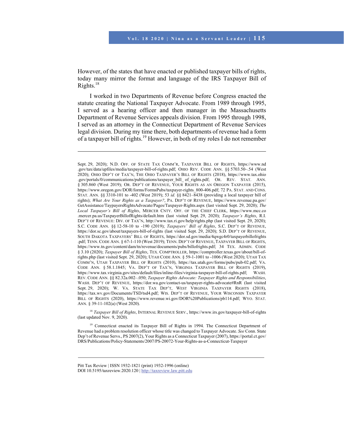However, of the states that have enacted or published taxpayer bills of rights, today many mirror the format and language of the IRS Taxpayer Bill of Rights.<sup>18</sup>

I worked in two Departments of Revenue before Congress enacted the statute creating the National Taxpayer Advocate. From 1989 through 1995, I served as a hearing officer and then manager in the Massachusetts Department of Revenue Services appeals division. From 1995 through 1998, I served as an attorney in the Connecticut Department of Revenue Services legal division. During my time there, both departments of revenue had a form of a taxpayer bill of rights.<sup>19</sup> However, in both of my roles I do not remember

<sup>18</sup> *Taxpayer Bill of Rights*, INTERNAL REVENUE SERV., https://www.irs.gov/taxpayer-bill-of-rights (last updated Nov. 9, 2020).

<sup>19</sup> Connecticut enacted its Taxpayer Bill of Rights in 1994. The Connecticut Department of Revenue had a problem resolution officer whose title was changed to Taxpayer Advocate. *See* Conn. State Dep't of Revenue Servs., PS 2007(2), Your Rights as a Connecticut Taxpayer (2007), https://portal.ct.gov/ DRS/Publications/Policy-Statements/2007/PS-20072-Your-Rights-as-a-Connecticut-Taxpayer

Sept. 29, 2020); N.D. OFF. OF STATE TAX COMM'R, TAXPAYER BILL OF RIGHTS, https://www.nd .gov/tax/data/upfiles/media/taxpayer-bill-of-rights.pdf; OHIO REV. CODE ANN. §§ 5703.50–.54 (West 2020); OHIO DEP'T OF TAX'N, THE OHIO TAXPAYER'S BILL OF RIGHTS (2018), https://www.tax.ohio .gov/portals/0/communications/publications/taxpayer\_bill\_ of\_rights.pdf; OR. REV. STAT. ANN. § 305.860 (West 2019); OR. DEP'T OF REVENUE, YOUR RIGHTS AS AN OREGON TAXPAYER (2015), https://www.oregon.gov/DOR/forms/FormsPubs/taxpayer-rights\_800-406.pdf; 72 PA. STAT. AND CONS. STAT. ANN. §§ 3310-101 to -402 (West 2019); 53 *id.* §§ 8421–8438 (providing a local taxpayer bill of rights); *What Are Your Rights as a Taxpayer?*, PA. DEP'T OF REVENUE, https://www.revenue.pa.gov/ GetAssistance/TaypayersRightsAdvocate/Pages/Taxpayer-Rights.aspx (last visited Sept. 29, 2020); *The Local Taxpayer's Bill of Rights*, MERCER CNTY. OFF. OF THE CHIEF CLERK, https://www.mcc.co .mercer.pa.us/TaxpayerBillofRights/default.htm (last visited Sept. 29, 2020); *Taxpayer's Rights*, R.I. DEP'T OF REVENUE: DIV. OF TAX'N, http://www.tax.ri.gov/help/rights.php (last visited Sept. 29, 2020); S.C. CODE ANN. §§ 12-58-10 to -190 (2019); *Taxpayers' Bill of Rights*, S.C. DEP'T OF REVENUE, https://dor.sc.gov/about/taxpayers-bill-of-rights (last visited Sept. 29, 2020); S.D. DEP'T OF REVENUE, SOUTH DAKOTA TAXPAYERS' BILL OF RIGHTS, https://dor.sd.gov/media/4qwgc4r0/taxpayerbillofrights .pdf; TENN. CODE ANN. § 67-1-110 (West 2019); TENN. DEP'T OF REVENUE, TAXPAYER BILL OF RIGHTS, https://www.tn.gov/content/dam/tn/revenue/documents/pubs/billofrights.pdf; 34 TEX. ADMIN. CODE § 3.10 (2020); *Taxpayer Bill of Rights*, TEX. COMPTROLLER, https://comptroller.texas.gov/about/bill-ofrights.php (last visited Sept. 29, 2020); UTAH CODE ANN. § 59-1-1001 to -1006 (West 2020); UTAH TAX COMM'N, UTAH TAXPAYER BILL OF RIGHTS (2010), https://tax.utah.gov/forms/pubs/pub-02.pdf; VA. CODE ANN. § 58.1.1845; VA. DEP'T OF TAX'N, VIRGINIA TAXPAYER BILL OF RIGHTS (2019), https://www.tax.virginia.gov/sites/default/files/inline-files/virginia-taxpayer-bill-of-rights.pdf; WASH. REV. CODE ANN. §§ 82.32a.002–.050; *Taxpayer Rights Advocate: Taxpayer Rights and Responsibilities*, WASH. DEP'T OF REVENUE, https://dor.wa.gov/contact-us/taxpayer-rights-advocate#RnR (last visited Sept. 29, 2020); W. VA. STATE TAX DEP'T, WEST VIRGINIA TAXPAYER RIGHTS (2018), https://tax.wv.gov/Documents/TSD/tsd4.pdf; WIS. DEP'T OF REVENUE, YOUR WISCONSIN TAXPAYER BILL OF RIGHTS (2020), https://www.revenue.wi.gov/DOR%20Publications/pb114.pdf; WYO. STAT. ANN. § 39-11-102(a) (West 2020).

Pitt Tax Review | ISSN 1932-1821 (print) 1932-1996 (online) DOI 10.5195/taxreview.2020.120 | http://taxreview.law.pitt.edu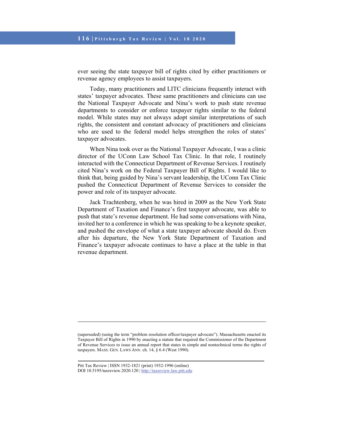ever seeing the state taxpayer bill of rights cited by either practitioners or revenue agency employees to assist taxpayers.

Today, many practitioners and LITC clinicians frequently interact with states' taxpayer advocates. These same practitioners and clinicians can use the National Taxpayer Advocate and Nina's work to push state revenue departments to consider or enforce taxpayer rights similar to the federal model. While states may not always adopt similar interpretations of such rights, the consistent and constant advocacy of practitioners and clinicians who are used to the federal model helps strengthen the roles of states' taxpayer advocates.

When Nina took over as the National Taxpayer Advocate, I was a clinic director of the UConn Law School Tax Clinic. In that role, I routinely interacted with the Connecticut Department of Revenue Services. I routinely cited Nina's work on the Federal Taxpayer Bill of Rights. I would like to think that, being guided by Nina's servant leadership, the UConn Tax Clinic pushed the Connecticut Department of Revenue Services to consider the power and role of its taxpayer advocate.

Jack Trachtenberg, when he was hired in 2009 as the New York State Department of Taxation and Finance's first taxpayer advocate, was able to push that state's revenue department. He had some conversations with Nina, invited her to a conference in which he was speaking to be a keynote speaker, and pushed the envelope of what a state taxpayer advocate should do. Even after his departure, the New York State Department of Taxation and Finance's taxpayer advocate continues to have a place at the table in that revenue department.

<sup>(</sup>superseded) (using the term "problem resolution officer/taxpayer advocate"). Massachusetts enacted its Taxpayer Bill of Rights in 1990 by enacting a statute that required the Commissioner of the Department of Revenue Services to issue an annual report that states in simple and nontechnical terms the rights of taxpayers. MASS. GEN. LAWS ANN. ch. 14, § 6.4 (West 1990).

Pitt Tax Review | ISSN 1932-1821 (print) 1932-1996 (online) DOI 10.5195/taxreview.2020.120 | http://taxreview.law.pitt.edu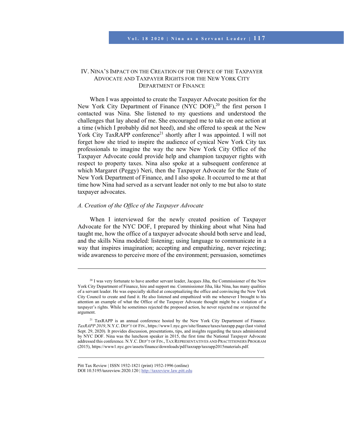## IV. NINA'S IMPACT ON THE CREATION OF THE OFFICE OF THE TAXPAYER ADVOCATE AND TAXPAYER RIGHTS FOR THE NEW YORK CITY DEPARTMENT OF FINANCE

When I was appointed to create the Taxpayer Advocate position for the New York City Department of Finance (NYC DOF),<sup>20</sup> the first person I contacted was Nina. She listened to my questions and understood the challenges that lay ahead of me. She encouraged me to take on one action at a time (which I probably did not heed), and she offered to speak at the New York City TaxRAPP conference<sup>21</sup> shortly after I was appointed. I will not forget how she tried to inspire the audience of cynical New York City tax professionals to imagine the way the new New York City Office of the Taxpayer Advocate could provide help and champion taxpayer rights with respect to property taxes. Nina also spoke at a subsequent conference at which Margaret (Peggy) Neri, then the Taxpayer Advocate for the State of New York Department of Finance, and I also spoke. It occurred to me at that time how Nina had served as a servant leader not only to me but also to state taxpayer advocates.

### *A. Creation of the Office of the Taxpayer Advocate*

l

When I interviewed for the newly created position of Taxpayer Advocate for the NYC DOF, I prepared by thinking about what Nina had taught me, how the office of a taxpayer advocate should both serve and lead, and the skills Nina modeled: listening; using language to communicate in a way that inspires imagination; accepting and empathizing, never rejecting; wide awareness to perceive more of the environment; persuasion, sometimes

<sup>&</sup>lt;sup>20</sup> I was very fortunate to have another servant leader, Jacques Jiha, the Commissioner of the New York City Department of Finance, hire and support me. Commissioner Jiha, like Nina, has many qualities of a servant leader. He was especially skilled at conceptualizing the office and convincing the New York City Council to create and fund it. He also listened and empathized with me whenever I brought to his attention an example of what the Office of the Taxpayer Advocate thought might be a violation of a taxpayer's rights. While he sometimes rejected the proposed action, he never rejected me or rejected the argument.

<sup>&</sup>lt;sup>21</sup> TaxRAPP is an annual conference hosted by the New York City Department of Finance. *TaxRAPP 2019*, N.Y.C. DEP'T OF FIN., https://www1.nyc.gov/site/finance/taxes/taxrapp.page (last visited Sept. 29, 2020). It provides discussion, presentations, tips, and insights regarding the taxes administered by NYC DOF. Nina was the luncheon speaker in 2015, the first time the National Taxpayer Advocate addressed this conference. N.Y.C. DEP'T OF FIN., TAX REPRESENTATIVES AND PRACTITIONERS PROGRAM (2015), https://www1.nyc.gov/assets/finance/downloads/pdf/taxrapp/taxrapp2015materials.pdf.

Pitt Tax Review | ISSN 1932-1821 (print) 1932-1996 (online) DOI 10.5195/taxreview.2020.120 | http://taxreview.law.pitt.edu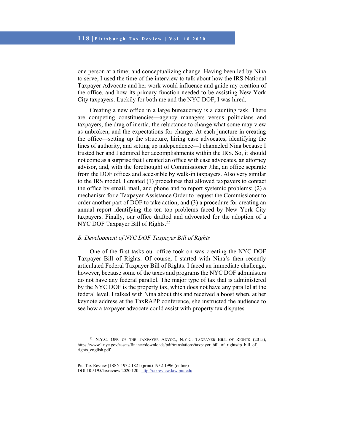one person at a time; and conceptualizing change. Having been led by Nina to serve, I used the time of the interview to talk about how the IRS National Taxpayer Advocate and her work would influence and guide my creation of the office, and how its primary function needed to be assisting New York City taxpayers. Luckily for both me and the NYC DOF, I was hired.

Creating a new office in a large bureaucracy is a daunting task. There are competing constituencies—agency managers versus politicians and taxpayers, the drag of inertia, the reluctance to change what some may view as unbroken, and the expectations for change. At each juncture in creating the office—setting up the structure, hiring case advocates, identifying the lines of authority, and setting up independence—I channeled Nina because I trusted her and I admired her accomplishments within the IRS. So, it should not come as a surprise that I created an office with case advocates, an attorney advisor, and, with the forethought of Commissioner Jiha, an office separate from the DOF offices and accessible by walk-in taxpayers. Also very similar to the IRS model, I created (1) procedures that allowed taxpayers to contact the office by email, mail, and phone and to report systemic problems; (2) a mechanism for a Taxpayer Assistance Order to request the Commissioner to order another part of DOF to take action; and (3) a procedure for creating an annual report identifying the ten top problems faced by New York City taxpayers. Finally, our office drafted and advocated for the adoption of a NYC DOF Taxpayer Bill of Rights.<sup>22</sup>

## *B. Development of NYC DOF Taxpayer Bill of Rights*

One of the first tasks our office took on was creating the NYC DOF Taxpayer Bill of Rights. Of course, I started with Nina's then recently articulated Federal Taxpayer Bill of Rights. I faced an immediate challenge, however, because some of the taxes and programs the NYC DOF administers do not have any federal parallel. The major type of tax that is administered by the NYC DOF is the property tax, which does not have any parallel at the federal level. I talked with Nina about this and received a boost when, at her keynote address at the TaxRAPP conference, she instructed the audience to see how a taxpayer advocate could assist with property tax disputes.

<sup>&</sup>lt;sup>22</sup> N.Y.C. OFF. OF THE TAXPAYER ADVOC., N.Y.C. TAXPAYER BILL OF RIGHTS (2015), https://www1.nyc.gov/assets/finance/downloads/pdf/translations/taxpayer\_bill\_of\_rights/tp\_bill\_of\_ rights\_english.pdf.

Pitt Tax Review | ISSN 1932-1821 (print) 1932-1996 (online) DOI 10.5195/taxreview.2020.120 | http://taxreview.law.pitt.edu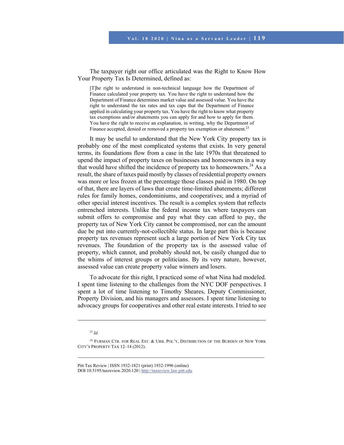The taxpayer right our office articulated was the Right to Know How Your Property Tax Is Determined, defined as:

[T]he right to understand in non-technical language how the Department of Finance calculated your property tax. You have the right to understand how the Department of Finance determines market value and assessed value. You have the right to understand the tax rates and tax caps that the Department of Finance applied in calculating your property tax. You have the right to know what property tax exemptions and/or abatements you can apply for and how to apply for them. You have the right to receive an explanation, in writing, why the Department of Finance accepted, denied or removed a property tax exemption or abatement.<sup>23</sup>

It may be useful to understand that the New York City property tax is probably one of the most complicated systems that exists. In very general terms, its foundations flow from a case in the late 1970s that threatened to upend the impact of property taxes on businesses and homeowners in a way that would have shifted the incidence of property tax to homeowners.<sup>24</sup> As a result, the share of taxes paid mostly by classes of residential property owners was more or less frozen at the percentage those classes paid in 1980. On top of that, there are layers of laws that create time-limited abatements; different rules for family homes, condominiums, and cooperatives; and a myriad of other special interest incentives. The result is a complex system that reflects entrenched interests. Unlike the federal income tax where taxpayers can submit offers to compromise and pay what they can afford to pay, the property tax of New York City cannot be compromised, nor can the amount due be put into currently-not-collectible status. In large part this is because property tax revenues represent such a large portion of New York City tax revenues. The foundation of the property tax is the assessed value of property, which cannot, and probably should not, be easily changed due to the whims of interest groups or politicians. By its very nature, however, assessed value can create property value winners and losers.

To advocate for this right, I practiced some of what Nina had modeled. I spent time listening to the challenges from the NYC DOF perspectives. I spent a lot of time listening to Timothy Sheares, Deputy Commissioner, Property Division, and his managers and assessors. I spent time listening to advocacy groups for cooperatives and other real estate interests. I tried to see

l

Pitt Tax Review | ISSN 1932-1821 (print) 1932-1996 (online) DOI 10.5195/taxreview.2020.120 | http://taxreview.law.pitt.edu

<sup>23</sup> *Id.*

<sup>&</sup>lt;sup>24</sup> FURMAN CTR. FOR REAL EST. & URB. POL'Y, DISTRIBUTION OF THE BURDEN OF NEW YORK CITY'S PROPERTY TAX 12–14 (2012).